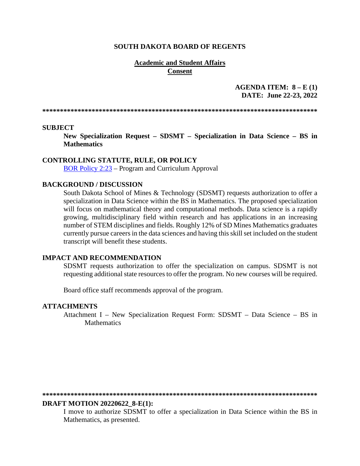### **SOUTH DAKOTA BOARD OF REGENTS**

### **Academic and Student Affairs** Consent

AGENDA ITEM:  $8 - E(1)$ DATE: June 22-23, 2022

### **SUBJECT**

New Specialization Request - SDSMT - Specialization in Data Science - BS in **Mathematics** 

### **CONTROLLING STATUTE, RULE, OR POLICY**

BOR Policy 2:23 – Program and Curriculum Approval

### **BACKGROUND / DISCUSSION**

South Dakota School of Mines & Technology (SDSMT) requests authorization to offer a specialization in Data Science within the BS in Mathematics. The proposed specialization will focus on mathematical theory and computational methods. Data science is a rapidly growing, multidisciplinary field within research and has applications in an increasing number of STEM disciplines and fields. Roughly 12% of SD Mines Mathematics graduates currently pursue careers in the data sciences and having this skill set included on the student transcript will benefit these students.

### **IMPACT AND RECOMMENDATION**

SDSMT requests authorization to offer the specialization on campus. SDSMT is not requesting additional state resources to offer the program. No new courses will be required.

Board office staff recommends approval of the program.

#### **ATTACHMENTS**

Attachment I - New Specialization Request Form: SDSMT - Data Science - BS in **Mathematics** 

#### 

### **DRAFT MOTION 20220622 8-E(1):**

I move to authorize SDSMT to offer a specialization in Data Science within the BS in Mathematics, as presented.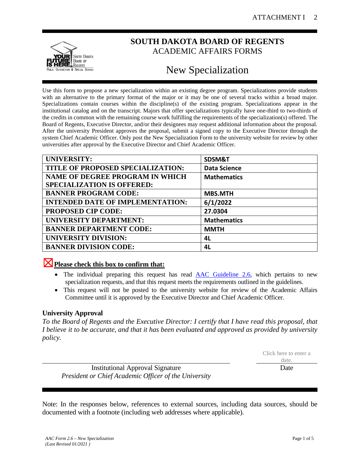

# **SOUTH DAKOTA BOARD OF REGENTS** ACADEMIC AFFAIRS FORMS

# New Specialization

Use this form to propose a new specialization within an existing degree program. Specializations provide students with an alternative to the primary format of the major or it may be one of several tracks within a broad major. Specializations contain courses within the discipline(s) of the existing program. Specializations appear in the institutional catalog and on the transcript. Majors that offer specializations typically have one-third to two-thirds of the credits in common with the remaining course work fulfilling the requirements of the specialization(s) offered. The Board of Regents, Executive Director, and/or their designees may request additional information about the proposal. After the university President approves the proposal, submit a signed copy to the Executive Director through the system Chief Academic Officer. Only post the New Specialization Form to the university website for review by other universities after approval by the Executive Director and Chief Academic Officer.

| <b>UNIVERSITY:</b>                      | SDSM&T              |
|-----------------------------------------|---------------------|
| TITLE OF PROPOSED SPECIALIZATION:       | <b>Data Science</b> |
| <b>NAME OF DEGREE PROGRAM IN WHICH</b>  | <b>Mathematics</b>  |
| <b>SPECIALIZATION IS OFFERED:</b>       |                     |
| <b>BANNER PROGRAM CODE:</b>             | <b>MBS.MTH</b>      |
| <b>INTENDED DATE OF IMPLEMENTATION:</b> | 6/1/2022            |
| <b>PROPOSED CIP CODE:</b>               | 27.0304             |
| UNIVERSITY DEPARTMENT:                  | <b>Mathematics</b>  |
| <b>BANNER DEPARTMENT CODE:</b>          | <b>MMTH</b>         |
| <b>UNIVERSITY DIVISION:</b>             | 4L                  |
| <b>BANNER DIVISION CODE:</b>            | 4L                  |

# ☒**Please check this box to confirm that:**

- The individual preparing this request has read **AAC Guideline 2.6**, which pertains to new specialization requests, and that this request meets the requirements outlined in the guidelines.
- This request will not be posted to the university website for review of the Academic Affairs Committee until it is approved by the Executive Director and Chief Academic Officer.

# **University Approval**

*To the Board of Regents and the Executive Director: I certify that I have read this proposal, that I believe it to be accurate, and that it has been evaluated and approved as provided by university policy.*

|                                                       | Click here to enter a<br>date. |
|-------------------------------------------------------|--------------------------------|
| <b>Institutional Approval Signature</b>               | Date                           |
| President or Chief Academic Officer of the University |                                |

Note: In the responses below, references to external sources, including data sources, should be documented with a footnote (including web addresses where applicable).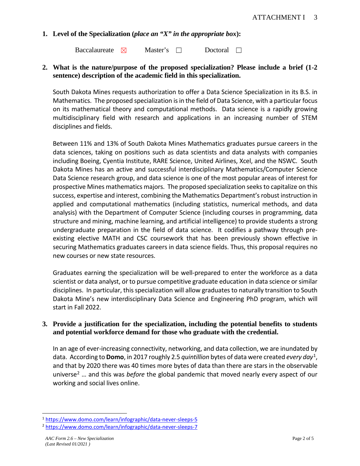# **1. Level of the Specialization (***place an "X" in the appropriate box***):**

Baccalaureate ⊠ Master's □ Doctoral □

# **2. What is the nature/purpose of the proposed specialization? Please include a brief (1-2 sentence) description of the academic field in this specialization.**

South Dakota Mines requests authorization to offer a Data Science Specialization in its B.S. in Mathematics. The proposed specialization is in the field of Data Science, with a particular focus on its mathematical theory and computational methods. Data science is a rapidly growing multidisciplinary field with research and applications in an increasing number of STEM disciplines and fields.

Between 11% and 13% of South Dakota Mines Mathematics graduates pursue careers in the data sciences, taking on positions such as data scientists and data analysts with companies including Boeing, Cyentia Institute, RARE Science, United Airlines, Xcel, and the NSWC. South Dakota Mines has an active and successful interdisciplinary Mathematics/Computer Science Data Science research group, and data science is one of the most popular areas of interest for prospective Mines mathematics majors. The proposed specialization seeks to capitalize on this success, expertise and interest, combining the Mathematics Department's robust instruction in applied and computational mathematics (including statistics, numerical methods, and data analysis) with the Department of Computer Science (including courses in programming, data structure and mining, machine learning, and artificial intelligence) to provide students a strong undergraduate preparation in the field of data science. It codifies a pathway through preexisting elective MATH and CSC coursework that has been previously shown effective in securing Mathematics graduates careers in data science fields. Thus, this proposal requires no new courses or new state resources.

Graduates earning the specialization will be well-prepared to enter the workforce as a data scientist or data analyst, or to pursue competitive graduate education in data science or similar disciplines. In particular, this specialization will allow graduates to naturally transition to South Dakota Mine's new interdisciplinary Data Science and Engineering PhD program, which will start in Fall 2022.

# **3. Provide a justification for the specialization, including the potential benefits to students and potential workforce demand for those who graduate with the credential.**

In an age of ever-increasing connectivity, networking, and data collection, we are inundated by data. According to **Domo**, in 2017 roughly 2.5 *quintillion* bytes of data were created *every day*[1](#page-2-0), and that by 2020 there was 40 times more bytes of data than there are stars in the observable universe[2](#page-2-1) … and this was *before* the global pandemic that moved nearly every aspect of our working and social lives online.

<span id="page-2-0"></span><sup>1</sup> <https://www.domo.com/learn/infographic/data-never-sleeps-5>2 <https://www.domo.com/learn/infographic/data-never-sleeps-7>

<span id="page-2-1"></span>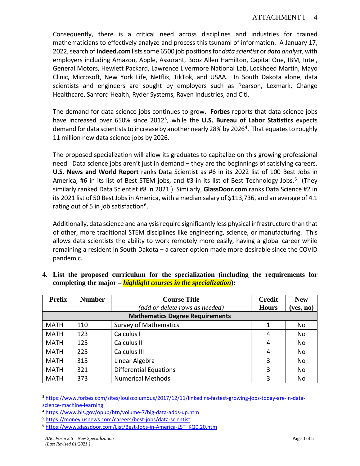Consequently, there is a critical need across disciplines and industries for trained mathematicians to effectively analyze and process this tsunami of information. A January 17, 2022, search of **Indeed.com** lists some 6500 job positions for *data scientist* or *data analyst*, with employers including Amazon, Apple, Assurant, Booz Allen Hamilton, Capital One, IBM, Intel, General Motors, Hewlett Packard, Lawrence Livermore National Lab, Lockheed Martin, Mayo Clinic, Microsoft, New York Life, Netflix, TikTok, and USAA. In South Dakota alone, data scientists and engineers are sought by employers such as Pearson, Lexmark, Change Healthcare, Sanford Health, Ryder Systems, Raven Industries, and Citi.

The demand for data science jobs continues to grow. **Forbes** reports that data science jobs have increased over 650% since 2012[3](#page-3-0), while the **U.S. Bureau of Labor Statistics** expects demand for data scientists to increase by another nearly 28% by 2026<sup>4</sup>. That equates to roughly 11 million new data science jobs by 2026.

The proposed specialization will allow its graduates to capitalize on this growing professional need. Data science jobs aren't just in demand – they are the beginnings of satisfying careers. **U.S. News and World Report** ranks Data Scientist as #6 in its 2022 list of 100 Best Jobs in America, #6 in its list of Best STEM jobs, and #3 in its list of Best Technology Jobs.<sup>[5](#page-3-2)</sup> (They similarly ranked Data Scientist #8 in 2021.) Similarly, **GlassDoor.com** ranks Data Science #2 in its 2021 list of 50 Best Jobs in America, with a median salary of \$113,736, and an average of 4.1 rating out of 5 in job satisfaction<sup>[6](#page-3-3)</sup>.

Additionally, data science and analysis require significantly less physical infrastructure than that of other, more traditional STEM disciplines like engineering, science, or manufacturing. This allows data scientists the ability to work remotely more easily, having a global career while remaining a resident in South Dakota – a career option made more desirable since the COVID pandemic.

| <b>Prefix</b> | <b>Number</b> | <b>Course Title</b>                    | <b>Credit</b> | <b>New</b> |
|---------------|---------------|----------------------------------------|---------------|------------|
|               |               | (add or delete rows as needed)         | <b>Hours</b>  | (yes, no)  |
|               |               | <b>Mathematics Degree Requirements</b> |               |            |
| <b>MATH</b>   | 110           | <b>Survey of Mathematics</b>           | 1             | No         |
| <b>MATH</b>   | 123           | Calculus I                             | 4             | No         |
| <b>MATH</b>   | 125           | Calculus II                            | 4             | No         |
| <b>MATH</b>   | 225           | Calculus III                           | 4             | No         |
| <b>MATH</b>   | 315           | Linear Algebra                         | 3             | No         |
| <b>MATH</b>   | 321           | <b>Differential Equations</b>          | 3             | No         |
| <b>MATH</b>   | 373           | <b>Numerical Methods</b>               | 3             | No         |

**4. List the proposed curriculum for the specialization (including the requirements for completing the major –** *highlight courses in the specialization***):**

<span id="page-3-0"></span><sup>3</sup> [https://www.forbes.com/sites/louiscolumbus/2017/12/11/linkedins-fastest-growing-jobs-today-are-in-data](https://www.forbes.com/sites/louiscolumbus/2017/12/11/linkedins-fastest-growing-jobs-today-are-in-data-science-machine-learning)science-machine-learning<br>
<sup>4</sup> https://www.bls.gov/opub/btn/volume-7/big-data-adds-up.htm<br>
<sup>5</sup> https://money.usnews.com/careers/best-jobs/data-scientist<br>
<sup>6</sup> https://www.glassdoor.com/List/Best-Jobs-in-America-LST\_KQ0,20.ht

<span id="page-3-1"></span>

<span id="page-3-2"></span>

<span id="page-3-3"></span>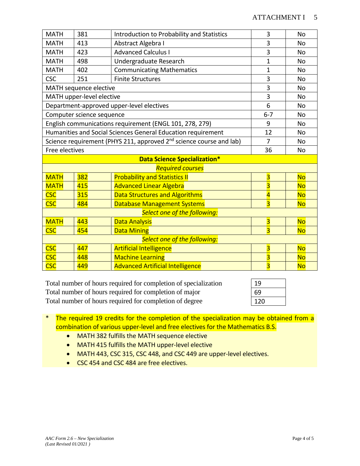| <b>MATH</b>                                | 381                                 | Introduction to Probability and Statistics                                      | 3                       | <b>No</b> |  |
|--------------------------------------------|-------------------------------------|---------------------------------------------------------------------------------|-------------------------|-----------|--|
| <b>MATH</b>                                | 413                                 | Abstract Algebra I                                                              | 3                       | <b>No</b> |  |
| <b>MATH</b>                                | 423                                 | <b>Advanced Calculus I</b>                                                      | 3                       | <b>No</b> |  |
| <b>MATH</b>                                | 498                                 | Undergraduate Research                                                          | $\mathbf{1}$            | <b>No</b> |  |
| <b>MATH</b>                                | 402                                 | <b>Communicating Mathematics</b>                                                | $\mathbf 1$             | <b>No</b> |  |
| <b>CSC</b>                                 | 251                                 | <b>Finite Structures</b>                                                        | 3                       | <b>No</b> |  |
|                                            | MATH sequence elective              |                                                                                 | 3                       | <b>No</b> |  |
|                                            | MATH upper-level elective           |                                                                                 | 3                       | <b>No</b> |  |
|                                            |                                     | Department-approved upper-level electives                                       | 6                       | No        |  |
|                                            | Computer science sequence           |                                                                                 | $6 - 7$                 | <b>No</b> |  |
|                                            |                                     | English communications requirement (ENGL 101, 278, 279)                         | 9                       | <b>No</b> |  |
|                                            |                                     | Humanities and Social Sciences General Education requirement                    | 12                      | <b>No</b> |  |
|                                            |                                     | Science requirement (PHYS 211, approved 2 <sup>nd</sup> science course and lab) | $\overline{7}$          | <b>No</b> |  |
|                                            | Free electives                      |                                                                                 |                         | <b>No</b> |  |
|                                            | <b>Data Science Specialization*</b> |                                                                                 |                         |           |  |
|                                            |                                     | <b>Required courses</b>                                                         |                         |           |  |
| <b>MATH</b>                                | 382                                 | <b>Probability and Statistics II</b>                                            | $\overline{\mathbf{3}}$ | <b>No</b> |  |
| <b>MATH</b>                                | 415                                 | <b>Advanced Linear Algebra</b>                                                  | $\overline{\mathbf{3}}$ | <b>No</b> |  |
| <b>CSC</b>                                 | 315                                 | <b>Data Structures and Algorithms</b>                                           | $\overline{\mathbf{4}}$ | <b>No</b> |  |
| <b>CSC</b>                                 | 484                                 | $\overline{\mathbf{3}}$                                                         | <b>No</b>               |           |  |
| Select one of the following:               |                                     |                                                                                 |                         |           |  |
| <b>MATH</b><br>443<br><b>Data Analysis</b> |                                     |                                                                                 | $\overline{\mathbf{3}}$ | <b>No</b> |  |
| <b>CSC</b>                                 | 454                                 | $\overline{3}$                                                                  | <b>No</b>               |           |  |
| Select one of the following:               |                                     |                                                                                 |                         |           |  |
| <b>CSC</b>                                 | 447                                 | <b>Artificial Intelligence</b>                                                  | $\overline{\mathbf{3}}$ | <b>No</b> |  |
| <b>CSC</b>                                 | 448                                 | <b>Machine Learning</b>                                                         | $\overline{\mathbf{3}}$ | <b>No</b> |  |
| <b>CSC</b>                                 | 449                                 | <b>Advanced Artificial Intelligence</b>                                         | $\overline{\mathbf{3}}$ | <b>No</b> |  |

Total number of hours required for completion of specialization 19 Total number of hours required for completion of major 69 Total number of hours required for completion of degree

| 19  |  |
|-----|--|
| 69  |  |
| 120 |  |

- \* The required 19 credits for the completion of the specialization may be obtained from a combination of various upper-level and free electives for the Mathematics B.S.
	- MATH 382 fulfills the MATH sequence elective
	- MATH 415 fulfills the MATH upper-level elective
	- MATH 443, CSC 315, CSC 448, and CSC 449 are upper-level electives.
	- CSC 454 and CSC 484 are free electives.